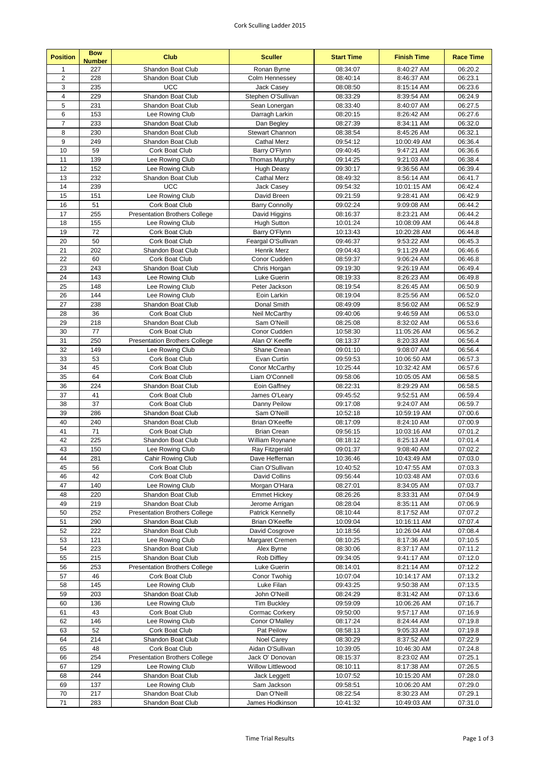## Cork Sculling Ladder 2015

| <b>Position</b>     | <b>Bow</b><br><b>Number</b> | <b>Club</b>                                            | <b>Sculler</b>                | <b>Start Time</b>    | <b>Finish Time</b>        | <b>Race Time</b>   |
|---------------------|-----------------------------|--------------------------------------------------------|-------------------------------|----------------------|---------------------------|--------------------|
| $\mathbf{1}$        | 227                         | Shandon Boat Club                                      | Ronan Byrne                   | 08:34:07             | 8:40:27 AM                | 06:20.2            |
| $\overline{2}$      | 228                         | Shandon Boat Club                                      | Colm Hennessey                | 08:40:14             | 8:46:37 AM                | 06:23.1            |
| 3                   | 235                         | <b>UCC</b>                                             | Jack Casey                    | 08:08:50             | 8:15:14 AM                | 06:23.6            |
| $\overline{4}$      | 229                         | Shandon Boat Club                                      | Stephen O'Sullivan            | 08:33:29             | 8:39:54 AM                | 06:24.9            |
| 5                   | 231                         | Shandon Boat Club                                      | Sean Lonergan                 | 08:33:40             | 8:40:07 AM                | 06:27.5            |
| 6<br>$\overline{7}$ | 153                         | Lee Rowing Club                                        | Darragh Larkin                | 08:20:15             | 8:26:42 AM                | 06:27.6            |
| 8                   | 233<br>230                  | Shandon Boat Club<br>Shandon Boat Club                 | Dan Begley<br>Stewart Channon | 08:27:39             | 8:34:11 AM                | 06:32.0<br>06:32.1 |
| 9                   | 249                         | Shandon Boat Club                                      | <b>Cathal Merz</b>            | 08:38:54<br>09:54:12 | 8:45:26 AM<br>10:00:49 AM | 06:36.4            |
| 10                  | 59                          | Cork Boat Club                                         | Barry O'Flynn                 | 09:40:45             | 9:47:21 AM                | 06:36.6            |
| 11                  | 139                         | Lee Rowing Club                                        | <b>Thomas Murphy</b>          | 09:14:25             | 9:21:03 AM                | 06:38.4            |
| 12                  | 152                         | Lee Rowing Club                                        | Hugh Deasy                    | 09:30:17             | 9:36:56 AM                | 06:39.4            |
| 13                  | 232                         | Shandon Boat Club                                      | <b>Cathal Merz</b>            | 08:49:32             | 8:56:14 AM                | 06:41.7            |
| 14                  | 239                         | <b>UCC</b>                                             | Jack Casey                    | 09:54:32             | 10:01:15 AM               | 06:42.4            |
| 15                  | 151                         | Lee Rowing Club                                        | David Breen                   | 09:21:59             | 9:28:41 AM                | 06:42.9            |
| 16                  | 51                          | Cork Boat Club                                         | <b>Barry Connolly</b>         | 09:02:24             | 9:09:08 AM                | 06:44.2            |
| 17                  | 255                         | <b>Presentation Brothers College</b>                   | David Higgins                 | 08:16:37             | 8:23:21 AM                | 06:44.2            |
| 18                  | 155                         | Lee Rowing Club                                        | <b>Hugh Sutton</b>            | 10:01:24             | 10:08:09 AM               | 06:44.8            |
| 19                  | 72                          | Cork Boat Club                                         | Barry O'Flynn                 | 10:13:43             | 10:20:28 AM               | 06:44.8            |
| 20                  | 50                          | Cork Boat Club                                         | Feargal O'Sullivan            | 09:46:37             | 9:53:22 AM                | 06:45.3            |
| 21                  | 202                         | Shandon Boat Club                                      | <b>Henrik Merz</b>            | 09:04:43             | 9:11:29 AM                | 06:46.6            |
| 22                  | 60                          | Cork Boat Club                                         | Conor Cudden                  | 08:59:37             | 9:06:24 AM                | 06:46.8            |
| 23                  | 243                         | Shandon Boat Club                                      | Chris Horgan                  | 09:19:30             | 9:26:19 AM                | 06:49.4            |
| 24<br>25            | 143<br>148                  | Lee Rowing Club<br>Lee Rowing Club                     | Luke Guerin<br>Peter Jackson  | 08:19:33<br>08:19:54 | 8:26:23 AM<br>8:26:45 AM  | 06:49.8<br>06:50.9 |
| 26                  | 144                         | Lee Rowing Club                                        | Eoin Larkin                   | 08:19:04             | 8:25:56 AM                | 06:52.0            |
| 27                  | 238                         | Shandon Boat Club                                      | Donal Smith                   | 08:49:09             | 8:56:02 AM                | 06:52.9            |
| 28                  | 36                          | Cork Boat Club                                         | Neil McCarthy                 | 09:40:06             | 9:46:59 AM                | 06:53.0            |
| 29                  | 218                         | Shandon Boat Club                                      | Sam O'Neill                   | 08:25:08             | 8:32:02 AM                | 06:53.6            |
| 30                  | 77                          | Cork Boat Club                                         | Conor Cudden                  | 10:58:30             | 11:05:26 AM               | 06:56.2            |
| 31                  | 250                         | <b>Presentation Brothers College</b>                   | Alan O' Keeffe                | 08:13:37             | 8:20:33 AM                | 06:56.4            |
| 32                  | 149                         | Lee Rowing Club                                        | Shane Crean                   | 09:01:10             | 9:08:07 AM                | 06:56.4            |
| 33                  | 53                          | Cork Boat Club                                         | Evan Curtin                   | 09:59:53             | 10:06:50 AM               | 06:57.3            |
| 34                  | 45                          | Cork Boat Club                                         | Conor McCarthy                | 10:25:44             | 10:32:42 AM               | 06:57.6            |
| 35                  | 64                          | Cork Boat Club                                         | Liam O'Connell                | 09:58:06             | 10:05:05 AM               | 06:58.5            |
| 36                  | 224                         | Shandon Boat Club                                      | Eoin Gaffney                  | 08:22:31             | 8:29:29 AM                | 06:58.5            |
| 37                  | 41                          | Cork Boat Club                                         | James O'Leary                 | 09:45:52             | 9:52:51 AM                | 06:59.4            |
| 38                  | 37                          | Cork Boat Club                                         | Danny Peilow                  | 09:17:08             | 9:24:07 AM                | 06:59.7            |
| 39<br>40            | 286<br>240                  | <b>Shandon Boat Club</b><br>Shandon Boat Club          | Sam O'Neill<br>Brian O'Keeffe | 10:52:18<br>08:17:09 | 10:59:19 AM<br>8:24:10 AM | 07:00.6<br>07:00.9 |
| 41                  | 71                          | Cork Boat Club                                         | <b>Brian Crean</b>            | 09:56:15             | 10:03:16 AM               | 07:01.2            |
| 42                  | 225                         | Shandon Boat Club                                      | William Roynane               | 08:18:12             | 8:25:13 AM                | 07:01.4            |
| 43                  | 150                         | Lee Rowing Club                                        | Ray Fitzgerald                | 09:01:37             | 9:08:40 AM                | 07:02.2            |
| 44                  | 281                         | Cahir Rowing Club                                      | Dave Heffernan                | 10:36:46             | 10:43:49 AM               | 07:03.0            |
| 45                  | 56                          | Cork Boat Club                                         | Cian O'Sullivan               | 10:40:52             | 10:47:55 AM               | 07:03.3            |
| 46                  | 42                          | Cork Boat Club                                         | David Collins                 | 09:56:44             | 10:03:48 AM               | 07:03.6            |
| 47                  | 140                         | Lee Rowing Club                                        | Morgan O'Hara                 | 08:27:01             | 8:34:05 AM                | 07:03.7            |
| 48                  | 220                         | Shandon Boat Club                                      | <b>Emmet Hickey</b>           | 08:26:26             | 8:33:31 AM                | 07:04.9            |
| 49                  | 219                         | Shandon Boat Club                                      | Jerome Arrigan                | 08:28:04             | 8:35:11 AM                | 07:06.9            |
| 50                  | 252                         | <b>Presentation Brothers College</b>                   | Patrick Kennelly              | 08:10:44             | 8:17:52 AM                | 07:07.2            |
| 51                  | 290                         | Shandon Boat Club                                      | Brian O'Keeffe                | 10:09:04             | 10:16:11 AM               | 07:07.4            |
| 52                  | 222                         | Shandon Boat Club                                      | David Cosgrove                | 10:18:56             | 10:26:04 AM               | 07:08.4            |
| 53                  | 121                         | Lee Rowing Club                                        | Margaret Cremen               | 08:10:25             | 8:17:36 AM                | 07:10.5            |
| 54                  | 223                         | Shandon Boat Club                                      | Alex Byrne                    | 08:30:06             | 8:37:17 AM                | 07:11.2            |
| 55<br>56            | 215<br>253                  | Shandon Boat Club                                      | Rob Diffley                   | 09:34:05             | 9:41:17 AM<br>8:21:14 AM  | 07:12.0<br>07:12.2 |
| 57                  | 46                          | <b>Presentation Brothers College</b><br>Cork Boat Club | Luke Guerin<br>Conor Twohig   | 08:14:01<br>10:07:04 | 10:14:17 AM               | 07:13.2            |
| 58                  | 145                         | Lee Rowing Club                                        | Luke Filan                    | 09:43:25             | 9:50:38 AM                | 07:13.5            |
| 59                  | 203                         | Shandon Boat Club                                      | John O'Neill                  | 08:24:29             | 8:31:42 AM                | 07:13.6            |
| 60                  | 136                         | Lee Rowing Club                                        | <b>Tim Buckley</b>            | 09:59:09             | 10:06:26 AM               | 07:16.7            |
| 61                  | 43                          | Cork Boat Club                                         | Cormac Corkery                | 09:50:00             | 9:57:17 AM                | 07:16.9            |
| 62                  | 146                         | Lee Rowing Club                                        | Conor O'Malley                | 08:17:24             | 8:24:44 AM                | 07:19.8            |
| 63                  | 52                          | Cork Boat Club                                         | Pat Peilow                    | 08:58:13             | 9:05:33 AM                | 07:19.8            |
| 64                  | 214                         | Shandon Boat Club                                      | Noel Carey                    | 08:30:29             | 8:37:52 AM                | 07:22.9            |
| 65                  | 48                          | Cork Boat Club                                         | Aidan O'Sullivan              | 10:39:05             | 10:46:30 AM               | 07:24.8            |
| 66                  | 254                         | <b>Presentation Brothers College</b>                   | Jack O' Donovan               | 08:15:37             | 8:23:02 AM                | 07:25.1            |
| 67                  | 129                         | Lee Rowing Club                                        | Willow Littlewood             | 08:10:11             | 8:17:38 AM                | 07:26.5            |
| 68                  | 244                         | Shandon Boat Club                                      | Jack Leggett                  | 10:07:52             | 10:15:20 AM               | 07:28.0            |
| 69                  | 137                         | Lee Rowing Club                                        | Sam Jackson                   | 09:58:51             | 10:06:20 AM               | 07:29.0            |
| 70                  | 217                         | Shandon Boat Club                                      | Dan O'Neill                   | 08:22:54             | 8:30:23 AM                | 07:29.1            |
| 71                  | 283                         | Shandon Boat Club                                      | James Hodkinson               | 10:41:32             | 10:49:03 AM               | 07:31.0            |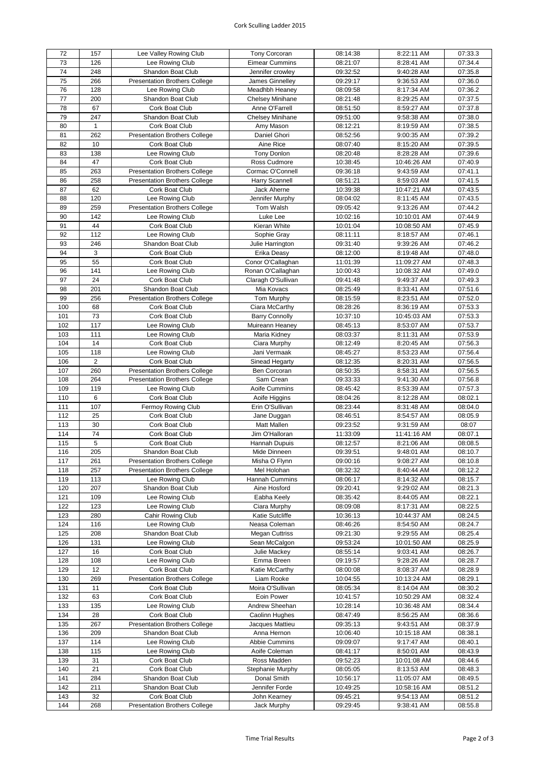## Cork Sculling Ladder 2015

| 72  | 157            | Lee Valley Rowing Club               | Tony Corcoran         | 08:14:38 | 8:22:11 AM  | 07:33.3 |
|-----|----------------|--------------------------------------|-----------------------|----------|-------------|---------|
| 73  | 126            | Lee Rowing Club                      | <b>Eimear Cummins</b> | 08:21:07 | 8:28:41 AM  | 07:34.4 |
| 74  | 248            | Shandon Boat Club                    | Jennifer crowley      | 09:32:52 | 9:40:28 AM  | 07:35.8 |
|     |                |                                      | James Ginnelley       |          |             |         |
| 75  | 266            | <b>Presentation Brothers College</b> |                       | 09:29:17 | 9:36:53 AM  | 07:36.0 |
| 76  | 128            | Lee Rowing Club                      | Meadhbh Heaney        | 08:09:58 | 8:17:34 AM  | 07:36.2 |
| 77  | 200            | Shandon Boat Club                    | Chelsey Minihane      | 08:21:48 | 8:29:25 AM  | 07:37.5 |
| 78  | 67             | Cork Boat Club                       | Anne O'Farrell        | 08:51:50 | 8:59:27 AM  | 07:37.8 |
| 79  | 247            | Shandon Boat Club                    | Chelsey Minihane      | 09:51:00 | 9:58:38 AM  | 07:38.0 |
| 80  | $\mathbf{1}$   | Cork Boat Club                       | Amy Mason             | 08:12:21 | 8:19:59 AM  | 07:38.5 |
| 81  | 262            | <b>Presentation Brothers College</b> | Daniel Ghori          | 08:52:56 | 9:00:35 AM  | 07:39.2 |
| 82  | 10             | Cork Boat Club                       | Aine Rice             | 08:07:40 | 8:15:20 AM  | 07:39.5 |
| 83  | 138            | Lee Rowing Club                      | <b>Tony Donlon</b>    | 08:20:48 | 8:28:28 AM  | 07:39.6 |
| 84  | 47             | Cork Boat Club                       | Ross Cudmore          | 10:38:45 | 10:46:26 AM | 07:40.9 |
| 85  | 263            | <b>Presentation Brothers College</b> | Cormac O'Connell      | 09:36:18 | 9:43:59 AM  | 07:41.1 |
| 86  | 258            | <b>Presentation Brothers College</b> | Harry Scannell        | 08:51:21 | 8:59:03 AM  | 07:41.5 |
| 87  | 62             |                                      |                       |          |             |         |
|     |                | Cork Boat Club                       | Jack Aherne           | 10:39:38 | 10:47:21 AM | 07:43.5 |
| 88  | 120            | Lee Rowing Club                      | Jennifer Murphy       | 08:04:02 | 8:11:45 AM  | 07:43.5 |
| 89  | 259            | <b>Presentation Brothers College</b> | Tom Walsh             | 09:05:42 | 9:13:26 AM  | 07:44.2 |
| 90  | 142            | Lee Rowing Club                      | Luke Lee              | 10:02:16 | 10:10:01 AM | 07:44.9 |
| 91  | 44             | Cork Boat Club                       | Kieran White          | 10:01:04 | 10:08:50 AM | 07:45.9 |
| 92  | 112            | Lee Rowing Club                      | Sophie Gray           | 08:11:11 | 8:18:57 AM  | 07:46.1 |
| 93  | 246            | Shandon Boat Club                    | Julie Harrington      | 09:31:40 | 9:39:26 AM  | 07:46.2 |
| 94  | 3              | Cork Boat Club                       | Erika Deasy           | 08:12:00 | 8:19:48 AM  | 07:48.0 |
| 95  | 55             | Cork Boat Club                       | Conor O'Callaghan     | 11:01:39 | 11:09:27 AM | 07:48.3 |
| 96  | 141            | Lee Rowing Club                      | Ronan O'Callaghan     | 10:00:43 | 10:08:32 AM | 07:49.0 |
| 97  | 24             | Cork Boat Club                       | Claragh O'Sullivan    | 09:41:48 | 9:49:37 AM  | 07:49.3 |
| 98  | 201            | Shandon Boat Club                    | Mia Kovacs            | 08:25:49 | 8:33:41 AM  | 07:51.6 |
| 99  | 256            | <b>Presentation Brothers College</b> | <b>Tom Murphy</b>     | 08:15:59 | 8:23:51 AM  | 07:52.0 |
| 100 | 68             | Cork Boat Club                       | Ciara McCarthy        | 08:28:26 | 8:36:19 AM  | 07:53.3 |
| 101 | 73             | Cork Boat Club                       | <b>Barry Connolly</b> | 10:37:10 | 10:45:03 AM | 07:53.3 |
| 102 | 117            | Lee Rowing Club                      | Muireann Heaney       | 08:45:13 | 8:53:07 AM  | 07:53.7 |
| 103 | 111            | Lee Rowing Club                      | Maria Kidney          | 08:03:37 | 8:11:31 AM  | 07:53.9 |
|     | 14             |                                      |                       |          |             |         |
| 104 |                | Cork Boat Club                       | Ciara Murphy          | 08:12:49 | 8:20:45 AM  | 07:56.3 |
| 105 | 118            | Lee Rowing Club                      | Jani Vermaak          | 08:45:27 | 8:53:23 AM  | 07:56.4 |
| 106 | $\overline{c}$ | Cork Boat Club                       | Sinead Hegarty        | 08:12:35 | 8:20:31 AM  | 07:56.5 |
| 107 | 260            | <b>Presentation Brothers College</b> | Ben Corcoran          | 08:50:35 | 8:58:31 AM  | 07:56.5 |
| 108 | 264            | <b>Presentation Brothers College</b> | Sam Crean             | 09:33:33 | 9:41:30 AM  | 07:56.8 |
| 109 | 119            | Lee Rowing Club                      | Aoife Cummins         | 08:45:42 | 8:53:39 AM  | 07:57.3 |
| 110 | 6              | Cork Boat Club                       | Aoife Higgins         | 08:04:26 | 8:12:28 AM  | 08:02.1 |
| 111 | 107            | Fermoy Rowing Club                   | Erin O'Sullivan       | 08:23:44 | 8:31:48 AM  | 08:04.0 |
| 112 | 25             | Cork Boat Club                       | Jane Duggan           | 08:46:51 | 8:54:57 AM  | 08:05.9 |
| 113 | 30             | Cork Boat Club                       | <b>Matt Mallen</b>    | 09:23:52 | 9:31:59 AM  | 08:07   |
| 114 | 74             | Cork Boat Club                       | Jim O'Halloran        | 11:33:09 | 11:41:16 AM | 08:07.1 |
| 115 | 5              | Cork Boat Club                       | Hannah Dupuis         | 08:12:57 | 8:21:06 AM  | 08:08.5 |
| 116 | 205            | <b>Shandon Boat Club</b>             | Mide Dinneen          | 09:39:51 | 9:48:01 AM  | 08:10.7 |
| 117 | 261            | <b>Presentation Brothers College</b> | Misha O Flynn         | 09:00:16 | 9:08:27 AM  | 08:10.8 |
| 118 | 257            | <b>Presentation Brothers College</b> | Mel Holohan           | 08:32:32 | 8:40:44 AM  | 08:12.2 |
| 119 | 113            | Lee Rowing Club                      | Hannah Cummins        | 08:06:17 | 8:14:32 AM  | 08:15.7 |
| 120 | 207            | Shandon Boat Club                    | Aine Hosford          | 09:20:41 | 9:29:02 AM  | 08:21.3 |
| 121 | 109            | Lee Rowing Club                      | Eabha Keely           | 08:35:42 | 8:44:05 AM  | 08:22.1 |
| 122 | 123            |                                      |                       | 08:09:08 | 8:17:31 AM  |         |
|     |                | Lee Rowing Club<br>Cahir Rowing Club | Ciara Murphy          |          |             | 08:22.5 |
| 123 | 280            |                                      | Katie Sutcliffe       | 10:36:13 | 10:44:37 AM | 08:24.5 |
| 124 | 116            | Lee Rowing Club                      | Neasa Coleman         | 08:46:26 | 8:54:50 AM  | 08:24.7 |
| 125 | 208            | Shandon Boat Club                    | <b>Megan Cuttriss</b> | 09:21:30 | 9:29:55 AM  | 08:25.4 |
| 126 | 131            | Lee Rowing Club                      | Sean McCalgon         | 09:53:24 | 10:01:50 AM | 08:25.9 |
| 127 | 16             | Cork Boat Club                       | Julie Mackey          | 08:55:14 | 9:03:41 AM  | 08:26.7 |
| 128 | 108            | Lee Rowing Club                      | Emma Breen            | 09:19:57 | 9:28:26 AM  | 08:28.7 |
| 129 | 12             | Cork Boat Club                       | Katie McCarthy        | 08:00:08 | 8:08:37 AM  | 08:28.9 |
| 130 | 269            | <b>Presentation Brothers College</b> | Liam Rooke            | 10:04:55 | 10:13:24 AM | 08:29.1 |
| 131 | 11             | Cork Boat Club                       | Moira O'Sullivan      | 08:05:34 | 8:14:04 AM  | 08:30.2 |
| 132 | 63             | Cork Boat Club                       | Eoin Power            | 10:41:57 | 10:50:29 AM | 08:32.4 |
| 133 | 135            | Lee Rowing Club                      | Andrew Sheehan        | 10:28:14 | 10:36:48 AM | 08:34.4 |
| 134 | 28             | Cork Boat Club                       | Caolinn Hughes        | 08:47:49 | 8:56:25 AM  | 08:36.6 |
| 135 | 267            | <b>Presentation Brothers College</b> | Jacques Mattieu       | 09:35:13 | 9:43:51 AM  | 08:37.9 |
| 136 | 209            | Shandon Boat Club                    | Anna Hernon           | 10:06:40 | 10:15:18 AM | 08:38.1 |
| 137 | 114            | Lee Rowing Club                      | Abbie Cummins         | 09:09:07 | 9:17:47 AM  | 08:40.1 |
| 138 | 115            | Lee Rowing Club                      | Aoife Coleman         | 08:41:17 | 8:50:01 AM  | 08:43.9 |
| 139 | 31             | Cork Boat Club                       | Ross Madden           | 09:52:23 | 10:01:08 AM | 08:44.6 |
| 140 | 21             | Cork Boat Club                       | Stephanie Murphy      | 08:05:05 | 8:13:53 AM  | 08:48.3 |
| 141 | 284            | Shandon Boat Club                    | Donal Smith           | 10:56:17 | 11:05:07 AM | 08:49.5 |
|     |                |                                      |                       |          |             |         |
| 142 | 211            | Shandon Boat Club                    | Jennifer Forde        | 10:49:25 | 10:58:16 AM | 08:51.2 |
| 143 | 32             | Cork Boat Club                       | John Kearney          | 09:45:21 | 9:54:13 AM  | 08:51.2 |
| 144 | 268            | <b>Presentation Brothers College</b> | Jack Murphy           | 09:29:45 | 9:38:41 AM  | 08:55.8 |